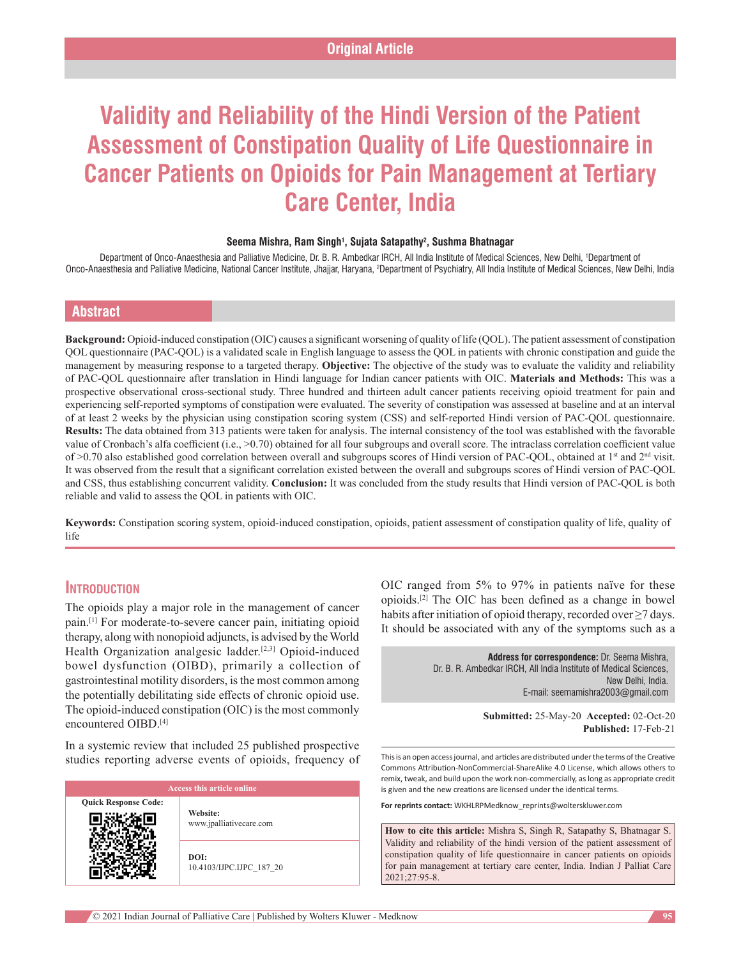# **Validity and Reliability of the Hindi Version of the Patient Assessment of Constipation Quality of Life Questionnaire in Cancer Patients on Opioids for Pain Management at Tertiary Care Center, India**

#### **Seema Mishra, Ram Singh1 , Sujata Satapathy2 , Sushma Bhatnagar**

Department of Onco‑Anaesthesia and Palliative Medicine, Dr. B. R. Ambedkar IRCH, All India Institute of Medical Sciences, New Delhi, 1 Department of Onco-Anaesthesia and Palliative Medicine, National Cancer Institute, Jhajjar, Haryana, <sup>2</sup>Department of Psychiatry, All India Institute of Medical Sciences, New Delhi, India

## **Abstract**

**Background:** Opioid‑induced constipation (OIC) causes a significant worsening of quality of life (QOL). The patient assessment of constipation QOL questionnaire (PAC‑QOL) is a validated scale in English language to assess the QOL in patients with chronic constipation and guide the management by measuring response to a targeted therapy. **Objective:** The objective of the study was to evaluate the validity and reliability of PAC‑QOL questionnaire after translation in Hindi language for Indian cancer patients with OIC. **Materials and Methods:** This was a prospective observational cross-sectional study. Three hundred and thirteen adult cancer patients receiving opioid treatment for pain and experiencing self-reported symptoms of constipation were evaluated. The severity of constipation was assessed at baseline and at an interval of at least 2 weeks by the physician using constipation scoring system (CSS) and self‑reported Hindi version of PAC‑QOL questionnaire. **Results:** The data obtained from 313 patients were taken for analysis. The internal consistency of the tool was established with the favorable value of Cronbach's alfa coefficient (i.e., >0.70) obtained for all four subgroups and overall score. The intraclass correlation coefficient value of >0.70 also established good correlation between overall and subgroups scores of Hindi version of PAC-QOL, obtained at 1<sup>st</sup> and 2<sup>nd</sup> visit. It was observed from the result that a significant correlation existed between the overall and subgroups scores of Hindi version of PAC‑QOL and CSS, thus establishing concurrent validity. **Conclusion:** It was concluded from the study results that Hindi version of PAC‑QOL is both reliable and valid to assess the QOL in patients with OIC.

**Keywords:** Constipation scoring system, opioid‑induced constipation, opioids, patient assessment of constipation quality of life, quality of life

## **Introduction**

The opioids play a major role in the management of cancer pain.<sup>[1]</sup> For moderate-to-severe cancer pain, initiating opioid therapy, along with nonopioid adjuncts, is advised by the World Health Organization analgesic ladder.<sup>[2,3]</sup> Opioid-induced bowel dysfunction (OIBD), primarily a collection of gastrointestinal motility disorders, is the most common among the potentially debilitating side effects of chronic opioid use. The opioid-induced constipation (OIC) is the most commonly encountered OIBD.[4]

In a systemic review that included 25 published prospective studies reporting adverse events of opioids, frequency of

| <b>Access this article online</b> |                                     |  |
|-----------------------------------|-------------------------------------|--|
| <b>Quick Response Code:</b>       | Website:<br>www.jpalliativecare.com |  |
|                                   | DOI:<br>10.4103/IJPC.IJPC 187 20    |  |

OIC ranged from 5% to 97% in patients naïve for these opioids.[2] The OIC has been defined as a change in bowel habits after initiation of opioid therapy, recorded over  $\geq$ 7 days. It should be associated with any of the symptoms such as a

> **Address for correspondence:** Dr. Seema Mishra, Dr. B. R. Ambedkar IRCH, All India Institute of Medical Sciences, New Delhi, India. E‑mail: seemamishra2003@gmail.com

> > **Submitted:** 25-May-20 **Accepted:** 02-Oct-20 **Published:** 17-Feb-21

This is an open access journal, and articles are distributed under the terms of the Creative Commons Attribution‑NonCommercial‑ShareAlike 4.0 License, which allows others to remix, tweak, and build upon the work non‑commercially, as long as appropriate credit is given and the new creations are licensed under the identical terms.

**For reprints contact:** WKHLRPMedknow\_reprints@wolterskluwer.com

**How to cite this article:** Mishra S, Singh R, Satapathy S, Bhatnagar S. Validity and reliability of the hindi version of the patient assessment of constipation quality of life questionnaire in cancer patients on opioids for pain management at tertiary care center, India. Indian J Palliat Care 2021;27:95-8.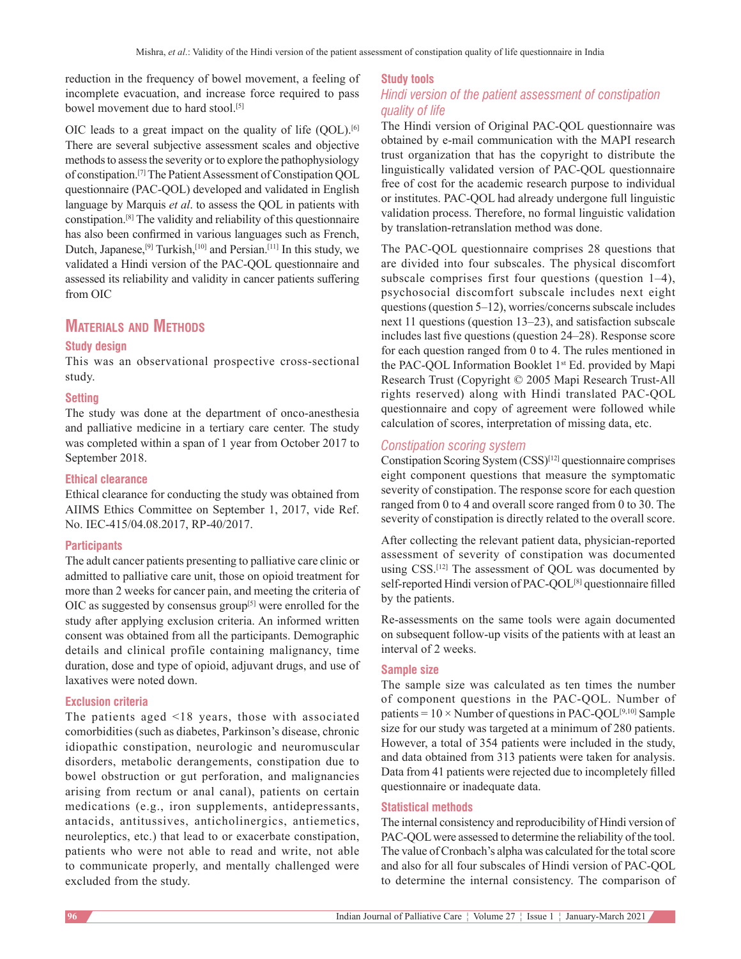reduction in the frequency of bowel movement, a feeling of incomplete evacuation, and increase force required to pass bowel movement due to hard stool.<sup>[5]</sup>

OIC leads to a great impact on the quality of life  $(QOL)$ .<sup>[6]</sup> There are several subjective assessment scales and objective methods to assess the severity or to explore the pathophysiology of constipation.[7] The Patient Assessment of Constipation QOL questionnaire (PAC‑QOL) developed and validated in English language by Marquis *et al*. to assess the QOL in patients with constipation.[8] The validity and reliability of this questionnaire has also been confirmed in various languages such as French, Dutch, Japanese,<sup>[9]</sup> Turkish,<sup>[10]</sup> and Persian.<sup>[11]</sup> In this study, we validated a Hindi version of the PAC‑QOL questionnaire and assessed its reliability and validity in cancer patients suffering from OIC

# **Materials and Methods**

## **Study design**

This was an observational prospective cross‑sectional study.

## **Setting**

The study was done at the department of onco-anesthesia and palliative medicine in a tertiary care center. The study was completed within a span of 1 year from October 2017 to September 2018.

## **Ethical clearance**

Ethical clearance for conducting the study was obtained from AIIMS Ethics Committee on September 1, 2017, vide Ref. No. IEC-415/04.08.2017, RP-40/2017.

## **Participants**

The adult cancer patients presenting to palliative care clinic or admitted to palliative care unit, those on opioid treatment for more than 2 weeks for cancer pain, and meeting the criteria of OIC as suggested by consensus group<sup>[5]</sup> were enrolled for the study after applying exclusion criteria. An informed written consent was obtained from all the participants. Demographic details and clinical profile containing malignancy, time duration, dose and type of opioid, adjuvant drugs, and use of laxatives were noted down.

## **Exclusion criteria**

The patients aged <18 years, those with associated comorbidities (such as diabetes, Parkinson's disease, chronic idiopathic constipation, neurologic and neuromuscular disorders, metabolic derangements, constipation due to bowel obstruction or gut perforation, and malignancies arising from rectum or anal canal), patients on certain medications (e.g., iron supplements, antidepressants, antacids, antitussives, anticholinergics, antiemetics, neuroleptics, etc.) that lead to or exacerbate constipation, patients who were not able to read and write, not able to communicate properly, and mentally challenged were excluded from the study.

## **Study tools** *Hindi version of the patient assessment of constipation quality of life*

The Hindi version of Original PAC‑QOL questionnaire was obtained by e‑mail communication with the MAPI research trust organization that has the copyright to distribute the linguistically validated version of PAC‑QOL questionnaire free of cost for the academic research purpose to individual or institutes. PAC‑QOL had already undergone full linguistic validation process. Therefore, no formal linguistic validation by translation-retranslation method was done.

The PAC‑QOL questionnaire comprises 28 questions that are divided into four subscales. The physical discomfort subscale comprises first four questions (question 1–4), psychosocial discomfort subscale includes next eight questions(question 5–12), worries/concerns subscale includes next 11 questions (question 13–23), and satisfaction subscale includes last five questions (question 24–28). Response score for each question ranged from 0 to 4. The rules mentioned in the PAC-QOL Information Booklet 1st Ed. provided by Mapi Research Trust (Copyright © 2005 Mapi Research Trust-All rights reserved) along with Hindi translated PAC‑QOL questionnaire and copy of agreement were followed while calculation of scores, interpretation of missing data, etc.

## *Constipation scoring system*

Constipation Scoring System (CSS)[12] questionnaire comprises eight component questions that measure the symptomatic severity of constipation. The response score for each question ranged from 0 to 4 and overall score ranged from 0 to 30. The severity of constipation is directly related to the overall score.

After collecting the relevant patient data, physician-reported assessment of severity of constipation was documented using CSS.<sup>[12]</sup> The assessment of QOL was documented by self-reported Hindi version of PAC-QOL<sup>[8]</sup> questionnaire filled by the patients.

Re‑assessments on the same tools were again documented on subsequent follow‑up visits of the patients with at least an interval of 2 weeks.

### **Sample size**

The sample size was calculated as ten times the number of component questions in the PAC‑QOL. Number of patients =  $10 \times$  Number of questions in PAC-QOL<sup>[9,10]</sup> Sample size for our study was targeted at a minimum of 280 patients. However, a total of 354 patients were included in the study, and data obtained from 313 patients were taken for analysis. Data from 41 patients were rejected due to incompletely filled questionnaire or inadequate data.

## **Statistical methods**

The internal consistency and reproducibility of Hindi version of PAC-QOL were assessed to determine the reliability of the tool. The value of Cronbach's alpha was calculated for the total score and also for all four subscales of Hindi version of PAC‑QOL to determine the internal consistency. The comparison of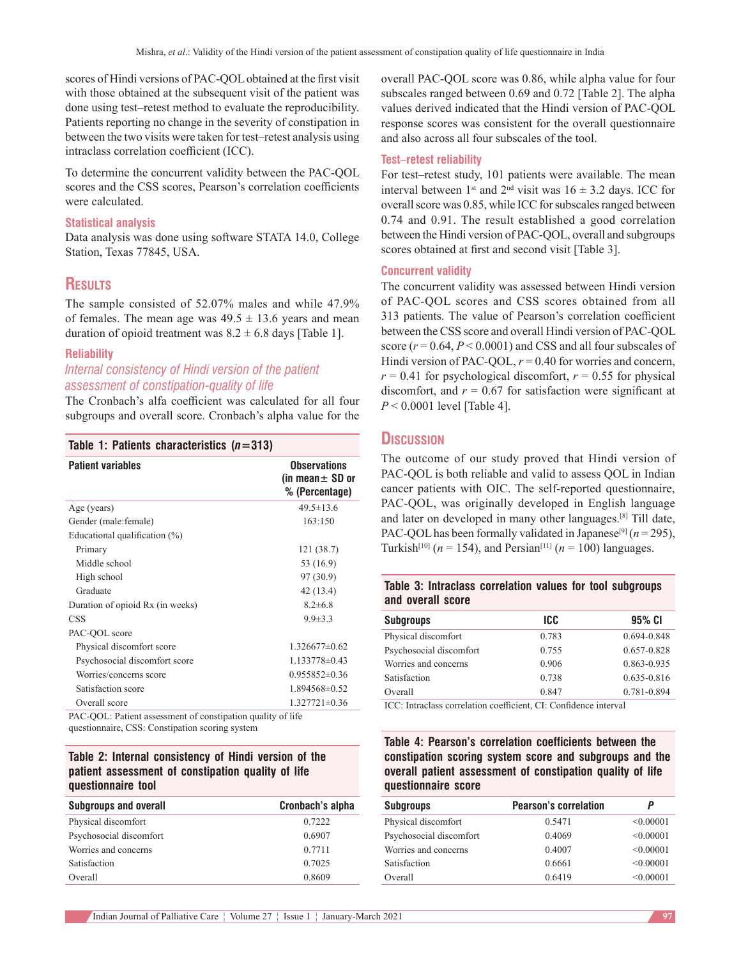scores of Hindi versions of PAC‑QOL obtained at the first visit with those obtained at the subsequent visit of the patient was done using test–retest method to evaluate the reproducibility. Patients reporting no change in the severity of constipation in between the two visits were taken for test–retest analysis using intraclass correlation coefficient (ICC).

To determine the concurrent validity between the PAC‑QOL scores and the CSS scores, Pearson's correlation coefficients were calculated.

#### **Statistical analysis**

Data analysis was done using software STATA 14.0, College Station, Texas 77845, USA.

## **Results**

The sample consisted of 52.07% males and while 47.9% of females. The mean age was  $49.5 \pm 13.6$  years and mean duration of opioid treatment was  $8.2 \pm 6.8$  days [Table 1].

#### **Reliability**

## *Internal consistency of Hindi version of the patient assessment of constipation‑quality of life*

The Cronbach's alfa coefficient was calculated for all four subgroups and overall score. Cronbach's alpha value for the

## **Table 1: Patients characteristics (***n***=313)**

| <b>Patient variables</b>                                    | <b>Observations</b><br>(in mean $\pm$ SD or<br>% (Percentage) |
|-------------------------------------------------------------|---------------------------------------------------------------|
| Age (years)                                                 | $49.5 \pm 13.6$                                               |
| Gender (male: female)                                       | 163:150                                                       |
| Educational qualification $(\%)$                            |                                                               |
| Primary                                                     | 121 (38.7)                                                    |
| Middle school                                               | 53 (16.9)                                                     |
| High school                                                 | 97 (30.9)                                                     |
| Graduate                                                    | 42 (13.4)                                                     |
| Duration of opioid Rx (in weeks)                            | $8.2 \pm 6.8$                                                 |
| <b>CSS</b>                                                  | $9.9 \pm 3.3$                                                 |
| PAC-QOL score                                               |                                                               |
| Physical discomfort score                                   | $1.326677\pm0.62$                                             |
| Psychosocial discomfort score                               | 1.133778±0.43                                                 |
| Worries/concerns score                                      | $0.955852\pm0.36$                                             |
| Satisfaction score                                          | 1.894568±0.52                                                 |
| Overall score                                               | $1.327721 \pm 0.36$                                           |
| PAC-OOL: Patient assessment of constination quality of life |                                                               |

questionnaire, CSS: Constipation scoring system

## **Table 2: Internal consistency of Hindi version of the patient assessment of constipation quality of life questionnaire tool**

| <b>Subgroups and overall</b> | Cronbach's alpha |
|------------------------------|------------------|
| Physical discomfort          | 0.7222           |
| Psychosocial discomfort      | 0.6907           |
| Worries and concerns         | 0.7711           |
| Satisfaction                 | 0.7025           |
| Overall                      | 0.8609           |

overall PAC‑QOL score was 0.86, while alpha value for four subscales ranged between 0.69 and 0.72 [Table 2]. The alpha values derived indicated that the Hindi version of PAC‑QOL response scores was consistent for the overall questionnaire and also across all four subscales of the tool.

### **Test–retest reliability**

For test–retest study, 101 patients were available. The mean interval between 1<sup>st</sup> and 2<sup>nd</sup> visit was  $16 \pm 3.2$  days. ICC for overall score was 0.85, while ICC for subscales ranged between 0.74 and 0.91. The result established a good correlation between the Hindi version of PAC‑QOL, overall and subgroups scores obtained at first and second visit [Table 3].

#### **Concurrent validity**

The concurrent validity was assessed between Hindi version of PAC‑QOL scores and CSS scores obtained from all 313 patients. The value of Pearson's correlation coefficient between the CSS score and overall Hindi version of PAC‑QOL score (*r* = 0.64, *P* < 0.0001) and CSS and all four subscales of Hindi version of PAC-QOL,  $r = 0.40$  for worries and concern,  $r = 0.41$  for psychological discomfort,  $r = 0.55$  for physical discomfort, and  $r = 0.67$  for satisfaction were significant at *P* < 0.0001 level [Table 4].

## **Discussion**

The outcome of our study proved that Hindi version of PAC-QOL is both reliable and valid to assess QOL in Indian cancer patients with OIC. The self-reported questionnaire, PAC-QOL, was originally developed in English language and later on developed in many other languages.[8] Till date, PAC-QOL has been formally validated in Japanese<sup>[9]</sup> ( $n = 295$ ), Turkish<sup>[10]</sup> ( $n = 154$ ), and Persian<sup>[11]</sup> ( $n = 100$ ) languages.

| Table 3: Intraclass correlation values for tool subgroups |  |  |  |
|-----------------------------------------------------------|--|--|--|
| and overall score                                         |  |  |  |

| <b>Subgroups</b>        | ICC.  | 95% CI          |
|-------------------------|-------|-----------------|
| Physical discomfort     | 0.783 | $0.694 - 0.848$ |
| Psychosocial discomfort | 0.755 | 0.657-0.828     |
| Worries and concerns    | 0.906 | 0.863-0.935     |
| Satisfaction            | 0.738 | $0.635 - 0.816$ |
| Overall                 | 0.847 | 0.781-0.894     |
|                         |       |                 |

ICC: Intraclass correlation coefficient, CI: Confidence interval

**Table 4: Pearson's correlation coefficients between the constipation scoring system score and subgroups and the overall patient assessment of constipation quality of life questionnaire score**

| <b>Subgroups</b>        | <b>Pearson's correlation</b> | Р         |
|-------------------------|------------------------------|-----------|
| Physical discomfort     | 0.5471                       | < 0.00001 |
| Psychosocial discomfort | 0.4069                       | < 0.00001 |
| Worries and concerns    | 0.4007                       | < 0.00001 |
| Satisfaction            | 0.6661                       | < 0.00001 |
| Overall                 | 0.6419                       | < 0.00001 |